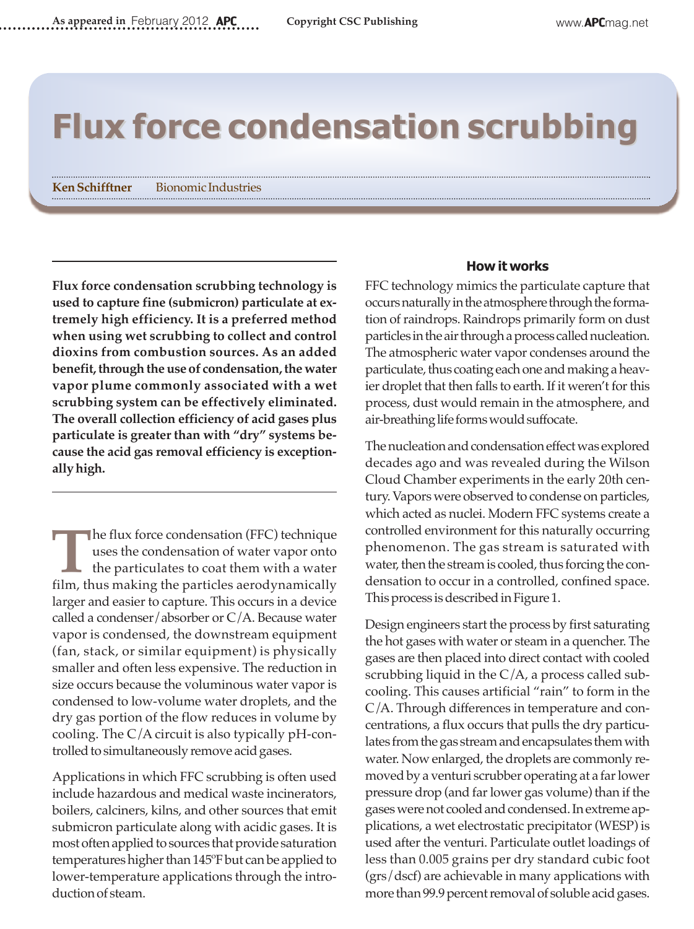# **Flux force condensation scrubbing**

**KenSchifftner** Bionomic Industries

**Flux force condensation scrubbing technology is used to capture fine (submicron) particulate at extremely high efficiency. It is a preferred method when using wet scrubbing to collect and control dioxins from combustion sources. As an added benefit, through the use of condensation, the water vapor plume commonly associated with a wet scrubbing system can be effectively eliminated. The overall collection efficiency of acid gases plus particulate is greater than with "dry" systems because the acid gas removal efficiency is exceptionallyhigh.**

**T**he flux force condensation (FFC) technique uses the condensation of water vapor onto the particulates to coat them with a water film, thus making the particles aerodynamically larger and easier to capture. This occurs in a device called a condenser/absorber or C/A. Because water vapor is condensed, the downstream equipment (fan, stack, or similar equipment) is physically smaller and often less expensive. The reduction in size occurs because the voluminous water vapor is condensed to low-volume water droplets, and the dry gas portion of the flow reduces in volume by cooling. The C/A circuit is also typically pH-controlled to simultaneously remove acid gases.

Applications in which FFC scrubbing is often used include hazardous and medical waste incinerators, boilers, calciners, kilns, and other sources that emit submicron particulate along with acidic gases. It is most often applied to sources that provide saturation temperatures higher than 145°F but can be applied to lower-temperature applications through the introduction of steam.

#### **How it works**

FFC technology mimics the particulate capture that occurs naturally in the atmosphere through the formation of raindrops. Raindrops primarily form on dust particles in the air through a process called nucleation. The atmospheric water vapor condenses around the particulate, thus coating each one and making a heavier droplet that then falls to earth. If it weren't for this process, dust would remain in the atmosphere, and air-breathing life forms would suffocate.

The nucleation and condensation effect was explored decades ago and was revealed during the Wilson Cloud Chamber experiments in the early 20th century. Vapors were observed to condense on particles, which acted as nuclei. Modern FFC systems create a controlled environment for this naturally occurring phenomenon. The gas stream is saturated with water, then the stream is cooled, thus forcing the condensation to occur in a controlled, confined space. This process is described in Figure 1.

Design engineers start the process by first saturating the hot gases with water or steam in a quencher. The gases are then placed into direct contact with cooled scrubbing liquid in the C/A, a process called subcooling. This causes artificial "rain" to form in the C/A. Through differences in temperature and concentrations, a flux occurs that pulls the dry particulates from the gas stream and encapsulates them with water. Now enlarged, the droplets are commonly removed by a venturi scrubber operating at a far lower pressure drop (and farlower gas volume) than if the gases were not cooled and condensed. In extreme applications, a wet electrostatic precipitator (WESP) is used after the venturi. Particulate outlet loadings of less than 0.005 grains per dry standard cubic foot (grs/dscf) are achievable in many applications with more than 99.9 percent removal of soluble acid gases.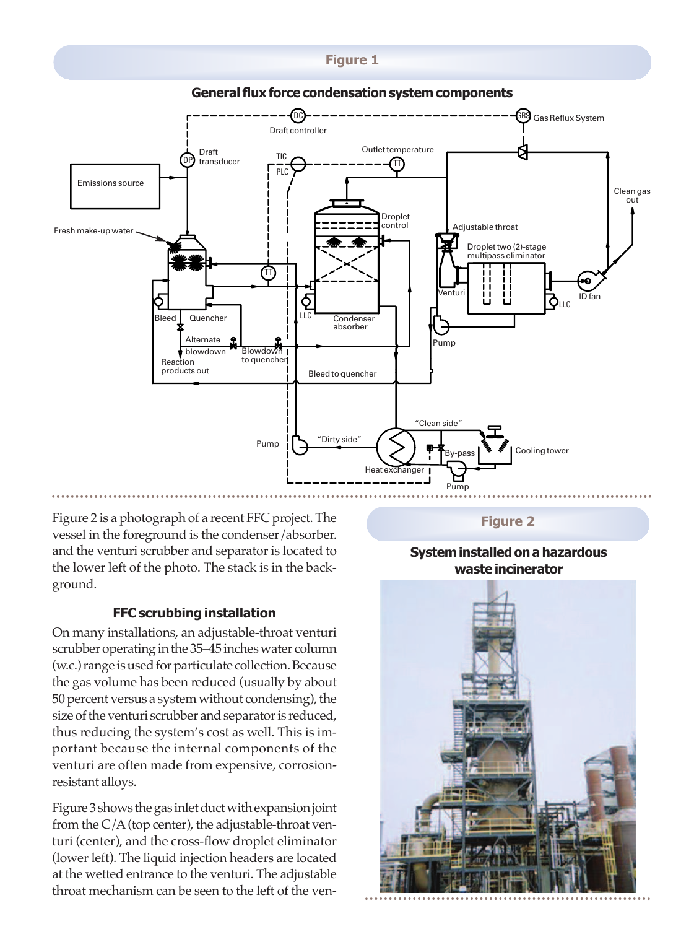### **Figure 1**



**General flux force condensation system components** 

Figure 2 is a photograph of a recent FFC project. The vessel in the foreground is the condenser/absorber. and the venturi scrubber and separator is located to the lower left of the photo. The stack is in the background.

## **FFC scrubbing installation**

On many installations, an adjustable-throat venturi scrubber operating in the 35-45 inches water column (w.c.) range is used for particulate collection. Because the gas volume has been reduced (usually by about 50 percent versus a system without condensing), the size of the venturi scrubber and separator is reduced, thus reducing the system's cost as well. This is important because the internal components of the venturi are often made from expensive, corrosionresistant alloys.

Figure 3 shows the gas inlet duct with expansion joint from the  $C/A$  (top center), the adjustable-throat venturi (center), and the cross-flow droplet eliminator (lower left). The liquid injection headers are located at the wetted entrance to the venturi. The adjustable throat mechanism can be seen to the left of the ven**Figure 2**

## **System installed on a hazardous waste incinerator**

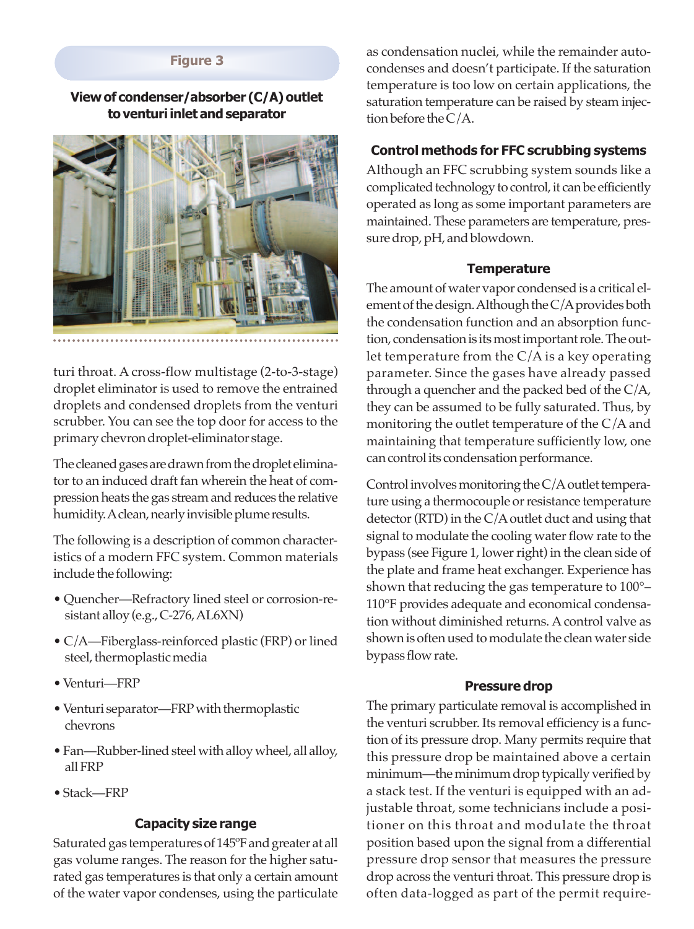## **Figure 3**

### **View of condenser/absorber (C/A) outlet toventuri inlet andseparator**



turi throat. A cross-flow multistage (2-to-3-stage) droplet eliminator is used to remove the entrained droplets and condensed droplets from the venturi scrubber. You can see the top door for access to the primarychevrondroplet-eliminator stage.

The cleaned gases are drawn from the droplet eliminator to an induced draft fan wherein the heat of compression heats the gas stream and reduces the relative humidity. A clean, nearly invisible plume results.

The following is a description of common characteristics of a modern FFC system. Common materials include the following:

- Quencher—Refractory lined steel or corrosion-resistant alloy (e.g., C-276, AL6XN)
- C/A—Fiberglass-reinforced plastic (FRP) or lined steel, thermoplastic media
- •Venturi—FRP
- Venturi separator—FRP with thermoplastic chevrons
- Fan—Rubber-lined steel with alloy wheel, all alloy, allFRP
- •Stack—FRP

#### **Capacity size range**

Saturated gas temperatures of 145°F and greater at all gas volume ranges. The reason for the higher saturated gas temperatures is that only a certain amount of the water vapor condenses, using the particulate

as condensation nuclei, while the remainder autocondenses and doesn't participate. If the saturation temperature is too low on certain applications, the saturation temperature can be raised by steam injectionbefore theC/A.

# **Control methods for FFC scrubbing systems**

Although an FFC scrubbing system sounds like a complicated technology to control, it can be efficiently operated as long as some important parameters are maintained. These parameters are temperature, pressure drop, pH, and blowdown.

## **Temperature**

The amount of water vapor condensed is a critical element of the design. Although the  $C/A$  provides both the condensation function and an absorption function, condensation is its most important role. The outlet temperature from the C/A is a key operating parameter. Since the gases have already passed through a quencher and the packed bed of the C/A, they can be assumed to be fully saturated. Thus, by monitoring the outlet temperature of the C/A and maintaining that temperature sufficiently low, one can control its condensation performance.

Control involves monitoring the  $C/A$  outlet temperature using a thermocouple or resistance temperature detector (RTD) in the  $C/A$  outlet duct and using that signal to modulate the cooling water flow rate to the bypass (see Figure 1, lower right) in the clean side of the plate and frame heat exchanger. Experience has shown that reducing the gas temperature to 100°– 110°F provides adequate and economical condensation without diminished returns. A control valve as shown is often used to modulate the clean water side bypass flowrate.

#### **Pressure drop**

The primary particulate removal is accomplished in the venturi scrubber. Its removal efficiency is a function of its pressure drop. Many permits require that this pressure drop be maintained above a certain minimum—the minimum drop typically verified by a stack test. If the venturi is equipped with an adjustable throat, some technicians include a positioner on this throat and modulate the throat position based upon the signal from a differential pressure drop sensor that measures the pressure drop across the venturi throat. This pressure drop is often data-logged as part of the permit require